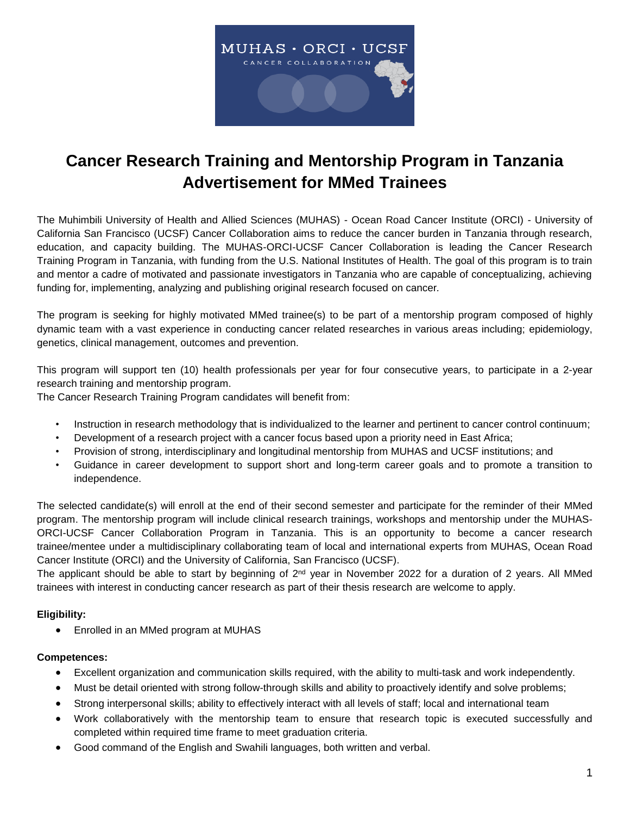

# **Cancer Research Training and Mentorship Program in Tanzania Advertisement for MMed Trainees**

The Muhimbili University of Health and Allied Sciences (MUHAS) - Ocean Road Cancer Institute (ORCI) - University of California San Francisco (UCSF) Cancer Collaboration aims to reduce the cancer burden in Tanzania through research, education, and capacity building. The MUHAS-ORCI-UCSF Cancer Collaboration is leading the Cancer Research Training Program in Tanzania, with funding from the U.S. National Institutes of Health. The goal of this program is to train and mentor a cadre of motivated and passionate investigators in Tanzania who are capable of conceptualizing, achieving funding for, implementing, analyzing and publishing original research focused on cancer*.*

The program is seeking for highly motivated MMed trainee(s) to be part of a mentorship program composed of highly dynamic team with a vast experience in conducting cancer related researches in various areas including; epidemiology, genetics, clinical management, outcomes and prevention.

This program will support ten (10) health professionals per year for four consecutive years, to participate in a 2-year research training and mentorship program.

The Cancer Research Training Program candidates will benefit from:

- Instruction in research methodology that is individualized to the learner and pertinent to cancer control continuum;
- Development of a research project with a cancer focus based upon a priority need in East Africa;
- Provision of strong, interdisciplinary and longitudinal mentorship from MUHAS and UCSF institutions; and
- Guidance in career development to support short and long-term career goals and to promote a transition to independence.

The selected candidate(s) will enroll at the end of their second semester and participate for the reminder of their MMed program. The mentorship program will include clinical research trainings, workshops and mentorship under the MUHAS-ORCI-UCSF Cancer Collaboration Program in Tanzania. This is an opportunity to become a cancer research trainee/mentee under a multidisciplinary collaborating team of local and international experts from MUHAS, Ocean Road Cancer Institute (ORCI) and the University of California, San Francisco (UCSF).

The applicant should be able to start by beginning of  $2<sup>nd</sup>$  year in November 2022 for a duration of 2 years. All MMed trainees with interest in conducting cancer research as part of their thesis research are welcome to apply.

## **Eligibility:**

• Enrolled in an MMed program at MUHAS

## **Competences:**

- Excellent organization and communication skills required, with the ability to multi-task and work independently.
- Must be detail oriented with strong follow-through skills and ability to proactively identify and solve problems;
- Strong interpersonal skills; ability to effectively interact with all levels of staff; local and international team
- Work collaboratively with the mentorship team to ensure that research topic is executed successfully and completed within required time frame to meet graduation criteria.
- Good command of the English and Swahili languages, both written and verbal.